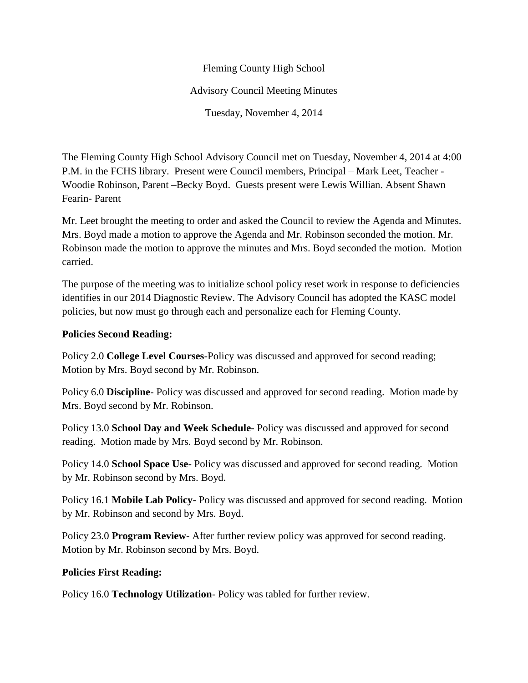## Fleming County High School Advisory Council Meeting Minutes Tuesday, November 4, 2014

The Fleming County High School Advisory Council met on Tuesday, November 4, 2014 at 4:00 P.M. in the FCHS library. Present were Council members, Principal – Mark Leet, Teacher - Woodie Robinson, Parent –Becky Boyd. Guests present were Lewis Willian. Absent Shawn Fearin- Parent

Mr. Leet brought the meeting to order and asked the Council to review the Agenda and Minutes. Mrs. Boyd made a motion to approve the Agenda and Mr. Robinson seconded the motion. Mr. Robinson made the motion to approve the minutes and Mrs. Boyd seconded the motion. Motion carried.

The purpose of the meeting was to initialize school policy reset work in response to deficiencies identifies in our 2014 Diagnostic Review. The Advisory Council has adopted the KASC model policies, but now must go through each and personalize each for Fleming County.

## **Policies Second Reading:**

Policy 2.0 **College Level Courses**-Policy was discussed and approved for second reading; Motion by Mrs. Boyd second by Mr. Robinson.

Policy 6.0 **Discipline**- Policy was discussed and approved for second reading. Motion made by Mrs. Boyd second by Mr. Robinson.

Policy 13.0 **School Day and Week Schedule**- Policy was discussed and approved for second reading. Motion made by Mrs. Boyd second by Mr. Robinson.

Policy 14.0 **School Space Use-** Policy was discussed and approved for second reading. Motion by Mr. Robinson second by Mrs. Boyd.

Policy 16.1 **Mobile Lab Policy-** Policy was discussed and approved for second reading. Motion by Mr. Robinson and second by Mrs. Boyd.

Policy 23.0 **Program Review**- After further review policy was approved for second reading. Motion by Mr. Robinson second by Mrs. Boyd.

## **Policies First Reading:**

Policy 16.0 **Technology Utilization**- Policy was tabled for further review.